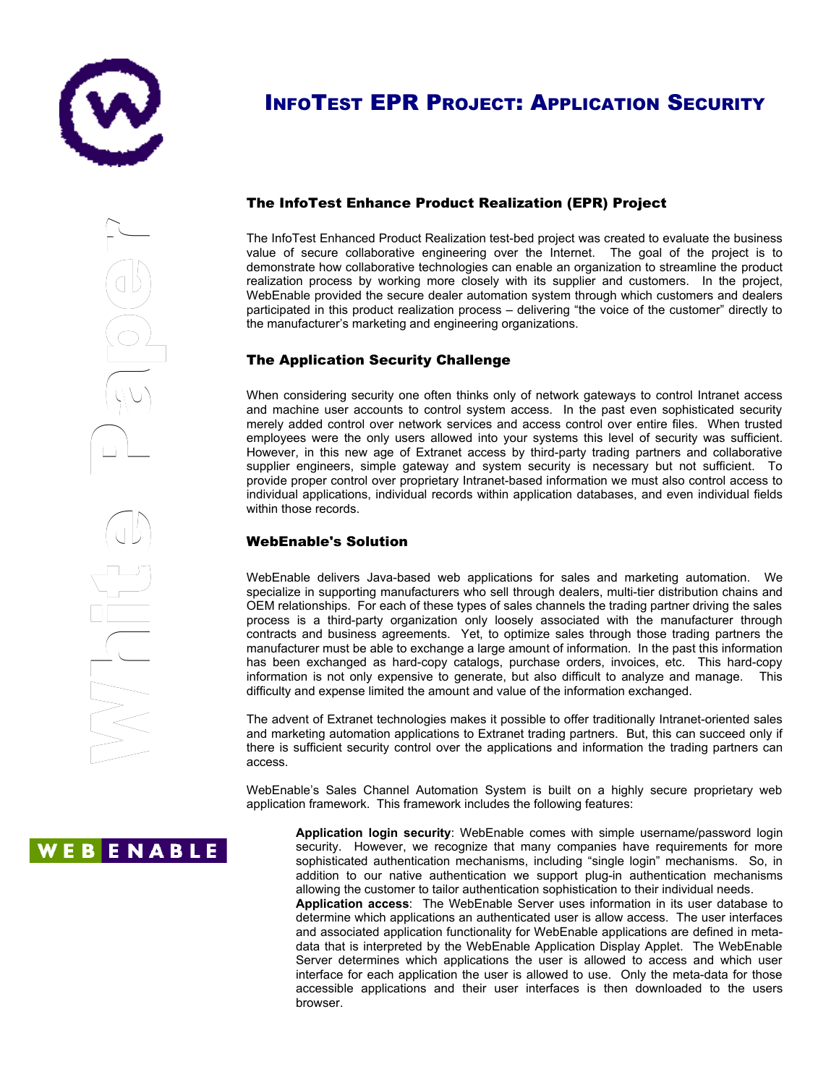

e

r

# INFOTEST EPR PROJECT: APPLICATION SECURITY

# The InfoTest Enhance Product Realization (EPR) Project

The InfoTest Enhanced Product Realization test-bed project was created to evaluate the business value of secure collaborative engineering over the Internet. The goal of the project is to demonstrate how collaborative technologies can enable an organization to streamline the product realization process by working more closely with its supplier and customers. In the project, WebEnable provided the secure dealer automation system through which customers and dealers participated in this product realization process – delivering "the voice of the customer" directly to the manufacturer's marketing and engineering organizations.

## The Application Security Challenge

When considering security one often thinks only of network gateways to control Intranet access and machine user accounts to control system access. In the past even sophisticated security merely added control over network services and access control over entire files. When trusted employees were the only users allowed into your systems this level of security was sufficient. However, in this new age of Extranet access by third-party trading partners and collaborative supplier engineers, simple gateway and system security is necessary but not sufficient. To provide proper control over proprietary Intranet-based information we must also control access to individual applications, individual records within application databases, and even individual fields within those records.

#### WebEnable's Solution y

WebEnable delivers Java-based web applications for sales and marketing automation. We specialize in supporting manufacturers who sell through dealers, multi-tier distribution chains and OEM relationships. For each of these types of sales channels the trading partner driving the sales process is a third-party organization only loosely associated with the manufacturer through contracts and business agreements. Yet, to optimize sales through those trading partners the manufacturer must be able to exchange a large amount of information. In the past this information has been exchanged as hard-copy catalogs, purchase orders, invoices, etc. This hard-copy information is not only expensive to generate, but also difficult to analyze and manage. This difficulty and expense limited the amount and value of the information exchanged.  $\mathcal{L}$ rtgy

The advent of Extranet technologies makes it possible to offer traditionally Intranet-oriented sales and marketing automation applications to Extranet trading partners. But, this can succeed only if there is sufficient security control over the applications and information the trading partners can access.

WebEnable's Sales Channel Automation System is built on a highly secure proprietary web application framework. This framework includes the following features:

**Application login security**: WebEnable comes with simple username/password login security. However, we recognize that many companies have requirements for more sophisticated authentication mechanisms, including "single login" mechanisms. So, in addition to our native authentication we support plug-in authentication mechanisms allowing the customer to tailor authentication sophistication to their individual needs. **Application access**: The WebEnable Server uses information in its user database to determine which applications an authenticated user is allow access. The user interfaces and associated application functionality for WebEnable applications are defined in meta-

data that is interpreted by the WebEnable Application Display Applet. The WebEnable Server determines which applications the user is allowed to access and which user interface for each application the user is allowed to use. Only the meta-data for those accessible applications and their user interfaces is then downloaded to the users browser.

**WEBENABLE**